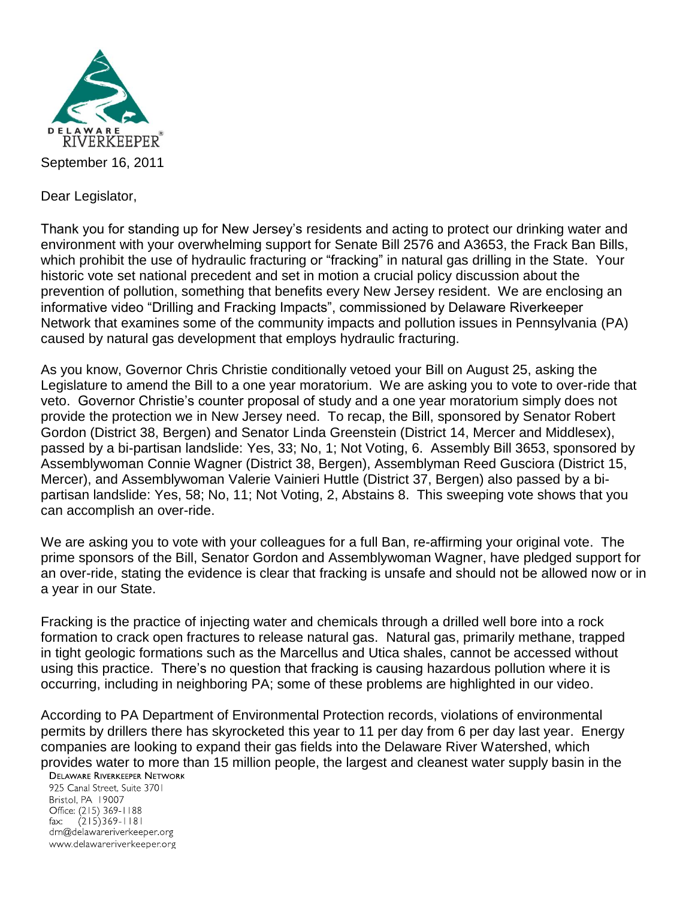

Dear Legislator,

Thank you for standing up for New Jersey's residents and acting to protect our drinking water and environment with your overwhelming support for Senate Bill 2576 and A3653, the Frack Ban Bills, which prohibit the use of hydraulic fracturing or "fracking" in natural gas drilling in the State. Your historic vote set national precedent and set in motion a crucial policy discussion about the prevention of pollution, something that benefits every New Jersey resident. We are enclosing an informative video "Drilling and Fracking Impacts", commissioned by Delaware Riverkeeper Network that examines some of the community impacts and pollution issues in Pennsylvania (PA) caused by natural gas development that employs hydraulic fracturing.

As you know, Governor Chris Christie conditionally vetoed your Bill on August 25, asking the Legislature to amend the Bill to a one year moratorium. We are asking you to vote to over-ride that veto. Governor Christie's counter proposal of study and a one year moratorium simply does not provide the protection we in New Jersey need. To recap, the Bill, sponsored by Senator Robert Gordon (District 38, Bergen) and Senator Linda Greenstein (District 14, Mercer and Middlesex), passed by a bi-partisan landslide: Yes, 33; No, 1; Not Voting, 6. Assembly Bill 3653, sponsored by Assemblywoman Connie Wagner (District 38, Bergen), Assemblyman Reed Gusciora (District 15, Mercer), and Assemblywoman Valerie Vainieri Huttle (District 37, Bergen) also passed by a bipartisan landslide: Yes, 58; No, 11; Not Voting, 2, Abstains 8. This sweeping vote shows that you can accomplish an over-ride.

We are asking you to vote with your colleagues for a full Ban, re-affirming your original vote. The prime sponsors of the Bill, Senator Gordon and Assemblywoman Wagner, have pledged support for an over-ride, stating the evidence is clear that fracking is unsafe and should not be allowed now or in a year in our State.

Fracking is the practice of injecting water and chemicals through a drilled well bore into a rock formation to crack open fractures to release natural gas. Natural gas, primarily methane, trapped in tight geologic formations such as the Marcellus and Utica shales, cannot be accessed without using this practice. There's no question that fracking is causing hazardous pollution where it is occurring, including in neighboring PA; some of these problems are highlighted in our video.

According to PA Department of Environmental Protection records, violations of environmental permits by drillers there has skyrocketed this year to 11 per day from 6 per day last year. Energy companies are looking to expand their gas fields into the Delaware River Watershed, which provides water to more than 15 million people, the largest and cleanest water supply basin in the<br>DELAWARE RIVERKEEPER NETWORK

925 Canal Street, Suite 3701 Bristol, PA 19007 Office: (215) 369-1188 fax:  $(215)369 - 1181$ drn@delawareriverkeeper.org www.delawareriverkeeper.org